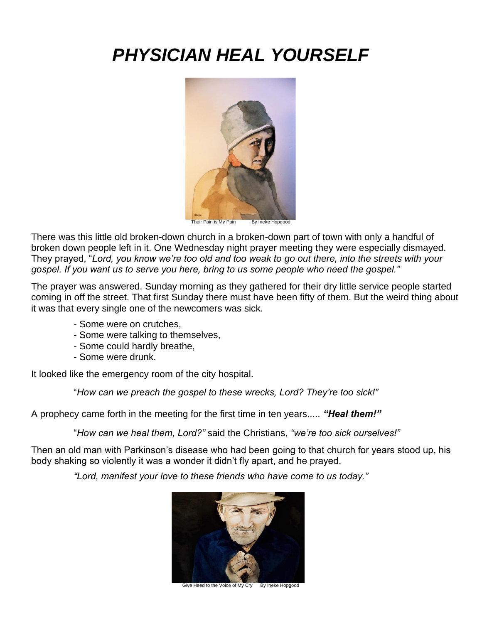# *PHYSICIAN HEAL YOURSELF*



Their Pain is My Pain By Ineke Hopgood

There was this little old broken-down church in a broken-down part of town with only a handful of broken down people left in it. One Wednesday night prayer meeting they were especially dismayed. They prayed, "*Lord, you know we're too old and too weak to go out there, into the streets with your gospel. If you want us to serve you here, bring to us some people who need the gospel."* Ĩ

The prayer was answered. Sunday morning as they gathered for their dry little service people started coming in off the street. That first Sunday there must have been fifty of them. But the weird thing about it was that every single one of the newcomers was sick.

- Some were on crutches,
- Some were talking to themselves,
- Some could hardly breathe,
- Some were drunk.

It looked like the emergency room of the city hospital.

"*How can we preach the gospel to these wrecks, Lord? They're too sick!"*

A prophecy came forth in the meeting for the first time in ten years..... *"Heal them!"*

"*How can we heal them, Lord?"* said the Christians, *"we're too sick ourselves!"*

Then an old man with Parkinson's disease who had been going to that church for years stood up, his body shaking so violently it was a wonder it didn't fly apart, and he prayed,

*"Lord, manifest your love to these friends who have come to us today."*



Give Heed to the Voice of My Cry By Ineke Hopgood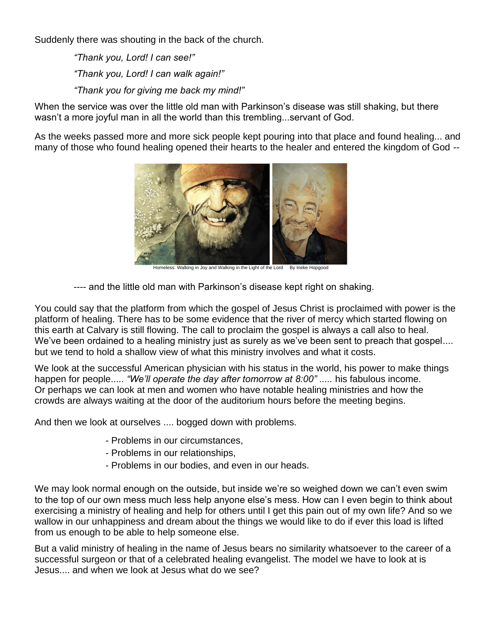Suddenly there was shouting in the back of the church.

*"Thank you, Lord! I can see!" "Thank you, Lord! I can walk again!" "Thank you for giving me back my mind!"*

When the service was over the little old man with Parkinson's disease was still shaking, but there wasn't a more joyful man in all the world than this trembling...servant of God.

As the weeks passed more and more sick people kept pouring into that place and found healing... and many of those who found healing opened their hearts to the healer and entered the kingdom of God --



Homeless: Walking in Joy and Walking in the Light of the Lord By Ineke Hopgood

---- and the little old man with Parkinson's disease kept right on shaking.

You could say that the platform from which the gospel of Jesus Christ is proclaimed with power is the platform of healing. There has to be some evidence that the river of mercy which started flowing on this earth at Calvary is still flowing. The call to proclaim the gospel is always a call also to heal. We've been ordained to a healing ministry just as surely as we've been sent to preach that gospel.... but we tend to hold a shallow view of what this ministry involves and what it costs.

We look at the successful American physician with his status in the world, his power to make things happen for people..... *"We'll operate the day after tomorrow at 8:00" .....* his fabulous income. Or perhaps we can look at men and women who have notable healing ministries and how the crowds are always waiting at the door of the auditorium hours before the meeting begins.

And then we look at ourselves .... bogged down with problems.

- Problems in our circumstances,
- Problems in our relationships,
- Problems in our bodies, and even in our heads.

We may look normal enough on the outside, but inside we're so weighed down we can't even swim to the top of our own mess much less help anyone else's mess. How can I even begin to think about exercising a ministry of healing and help for others until I get this pain out of my own life? And so we wallow in our unhappiness and dream about the things we would like to do if ever this load is lifted from us enough to be able to help someone else.

But a valid ministry of healing in the name of Jesus bears no similarity whatsoever to the career of a successful surgeon or that of a celebrated healing evangelist. The model we have to look at is Jesus.... and when we look at Jesus what do we see?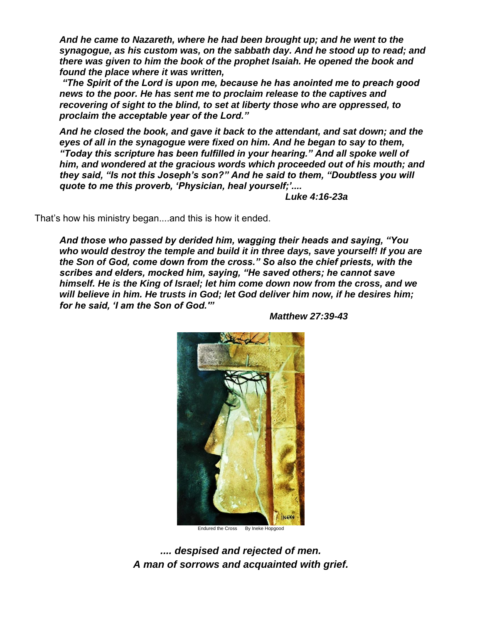*And he came to Nazareth, where he had been brought up; and he went to the synagogue, as his custom was, on the sabbath day. And he stood up to read; and there was given to him the book of the prophet Isaiah. He opened the book and found the place where it was written,*

*"The Spirit of the Lord is upon me, because he has anointed me to preach good news to the poor. He has sent me to proclaim release to the captives and recovering of sight to the blind, to set at liberty those who are oppressed, to proclaim the acceptable year of the Lord."*

*And he closed the book, and gave it back to the attendant, and sat down; and the eyes of all in the synagogue were fixed on him. And he began to say to them, "Today this scripture has been fulfilled in your hearing." And all spoke well of him, and wondered at the gracious words which proceeded out of his mouth; and they said, "Is not this Joseph's son?" And he said to them, "Doubtless you will quote to me this proverb, 'Physician, heal yourself;'....* 

 *Luke 4:16-23a*

That's how his ministry began....and this is how it ended.

*And those who passed by derided him, wagging their heads and saying, "You who would destroy the temple and build it in three days, save yourself! If you are the Son of God, come down from the cross." So also the chief priests, with the scribes and elders, mocked him, saying, "He saved others; he cannot save himself. He is the King of Israel; let him come down now from the cross, and we will believe in him. He trusts in God; let God deliver him now, if he desires him; for he said, 'I am the Son of God.'"* 



*Matthew 27:39-43*

*.... despised and rejected of men. A man of sorrows and acquainted with grief.*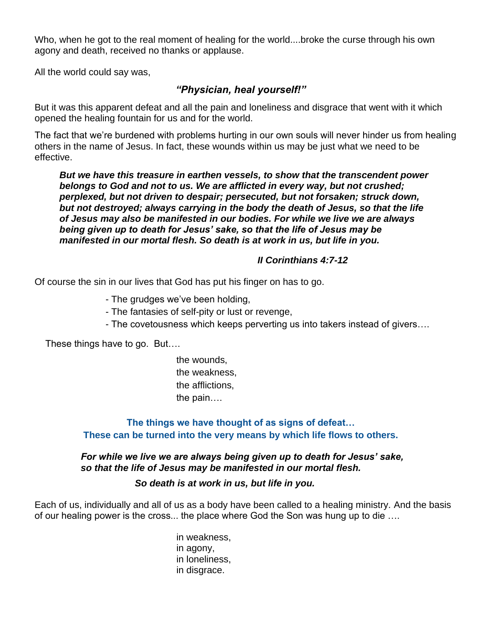Who, when he got to the real moment of healing for the world....broke the curse through his own agony and death, received no thanks or applause.

All the world could say was,

## *"Physician, heal yourself!"*

But it was this apparent defeat and all the pain and loneliness and disgrace that went with it which opened the healing fountain for us and for the world.

The fact that we're burdened with problems hurting in our own souls will never hinder us from healing others in the name of Jesus. In fact, these wounds within us may be just what we need to be effective.

*But we have this treasure in earthen vessels, to show that the transcendent power belongs to God and not to us. We are afflicted in every way, but not crushed; perplexed, but not driven to despair; persecuted, but not forsaken; struck down, but not destroyed; always carrying in the body the death of Jesus, so that the life of Jesus may also be manifested in our bodies. For while we live we are always being given up to death for Jesus' sake, so that the life of Jesus may be manifested in our mortal flesh. So death is at work in us, but life in you.* 

#### *II Corinthians 4:7-12*

Of course the sin in our lives that God has put his finger on has to go.

- The grudges we've been holding,

- The fantasies of self-pity or lust or revenge,
- The covetousness which keeps perverting us into takers instead of givers….

These things have to go. But…. J.

> the wounds, the weakness, the afflictions, the pain….

**The things we have thought of as signs of defeat… These can be turned into the very means by which life flows to others.**

#### *For while we live we are always being given up to death for Jesus' sake, so that the life of Jesus may be manifested in our mortal flesh.*

*So death is at work in us, but life in you.*

Each of us, individually and all of us as a body have been called to a healing ministry. And the basis of our healing power is the cross... the place where God the Son was hung up to die ….

> in weakness, in agony, in loneliness, in disgrace.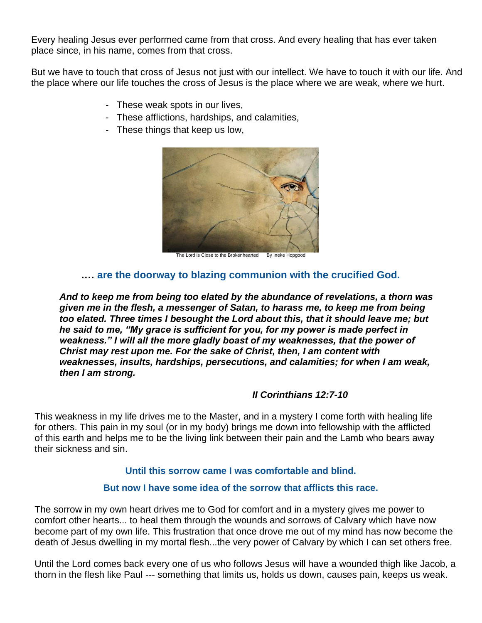Every healing Jesus ever performed came from that cross. And every healing that has ever taken place since, in his name, comes from that cross.

But we have to touch that cross of Jesus not just with our intellect. We have to touch it with our life. And the place where our life touches the cross of Jesus is the place where we are weak, where we hurt.

- These weak spots in our lives,
- These afflictions, hardships, and calamities,
- These things that keep us low,



The Lord is Close to the Brokenhearted By Ineke Hopgood

#### **.… are the doorway to blazing communion with the crucified God.**

*And to keep me from being too elated by the abundance of revelations, a thorn was given me in the flesh, a messenger of Satan, to harass me, to keep me from being too elated. Three times I besought the Lord about this, that it should leave me; but he said to me, "My grace is sufficient for you, for my power is made perfect in weakness." I will all the more gladly boast of my weaknesses, that the power of Christ may rest upon me. For the sake of Christ, then, I am content with weaknesses, insults, hardships, persecutions, and calamities; for when I am weak, then I am strong.*

### *II Corinthians 12:7-10*

This weakness in my life drives me to the Master, and in a mystery I come forth with healing life for others. This pain in my soul (or in my body) brings me down into fellowship with the afflicted of this earth and helps me to be the living link between their pain and the Lamb who bears away their sickness and sin.

#### **Until this sorrow came I was comfortable and blind.**

#### **But now I have some idea of the sorrow that afflicts this race.**

The sorrow in my own heart drives me to God for comfort and in a mystery gives me power to comfort other hearts... to heal them through the wounds and sorrows of Calvary which have now become part of my own life. This frustration that once drove me out of my mind has now become the death of Jesus dwelling in my mortal flesh...the very power of Calvary by which I can set others free.

Until the Lord comes back every one of us who follows Jesus will have a wounded thigh like Jacob, a thorn in the flesh like Paul --- something that limits us, holds us down, causes pain, keeps us weak.